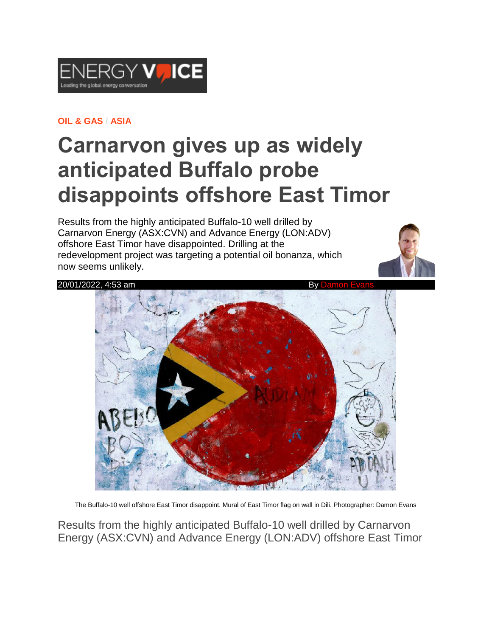

## **OIL & [GAS](https://www.energyvoice.com/category/oilandgas/) / [ASIA](https://www.energyvoice.com/category/oilandgas/asia/)**

## **Carnarvon gives up as widely anticipated Buffalo probe disappoints offshore East Timor**

Results from the highly anticipated Buffalo-10 well drilled by Carnarvon Energy (ASX:CVN) and Advance Energy (LON:ADV) offshore East Timor have disappointed. Drilling at the redevelopment project was targeting a potential oil bonanza, which now seems unlikely.





The Buffalo-10 well offshore East Timor disappoint. Mural of East Timor flag on wall in Dili. Photographer: Damon Evans

Results from the highly anticipated Buffalo-10 well drilled by Carnarvon Energy (ASX:CVN) and Advance Energy (LON:ADV) offshore East Timor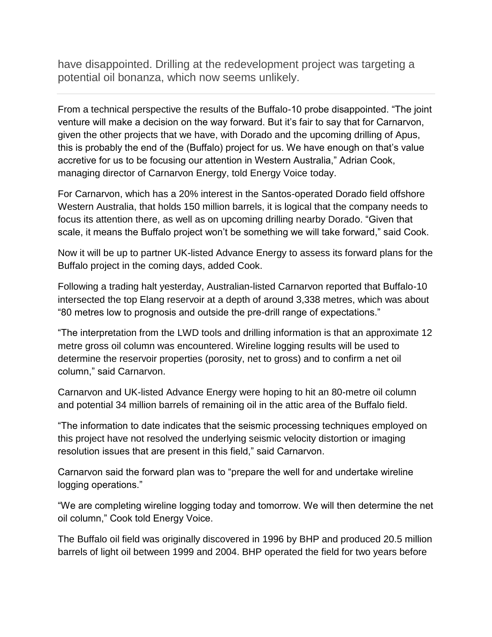have disappointed. Drilling at the redevelopment project was targeting a potential oil bonanza, which now seems unlikely.

From a technical perspective the results of the Buffalo-10 probe disappointed. "The joint venture will make a decision on the way forward. But it's fair to say that for Carnarvon, given the other projects that we have, with Dorado and the upcoming drilling of Apus, this is probably the end of the (Buffalo) project for us. We have enough on that's value accretive for us to be focusing our attention in Western Australia," Adrian Cook, managing director of Carnarvon Energy, told Energy Voice today.

For Carnarvon, which has a 20% interest in the Santos-operated Dorado field offshore Western Australia, that holds 150 million barrels, it is logical that the company needs to focus its attention there, as well as on upcoming drilling nearby Dorado. "Given that scale, it means the Buffalo project won't be something we will take forward," said Cook.

Now it will be up to partner UK-listed Advance Energy to assess its forward plans for the Buffalo project in the coming days, added Cook.

Following a trading halt yesterday, Australian-listed Carnarvon reported that Buffalo-10 intersected the top Elang reservoir at a depth of around 3,338 metres, which was about "80 metres low to prognosis and outside the pre-drill range of expectations."

"The interpretation from the LWD tools and drilling information is that an approximate 12 metre gross oil column was encountered. Wireline logging results will be used to determine the reservoir properties (porosity, net to gross) and to confirm a net oil column," said Carnarvon.

Carnarvon and UK-listed Advance Energy were hoping to hit an 80-metre oil column and potential 34 million barrels of remaining oil in the attic area of the Buffalo field.

"The information to date indicates that the seismic processing techniques employed on this project have not resolved the underlying seismic velocity distortion or imaging resolution issues that are present in this field," said Carnarvon.

Carnarvon said the forward plan was to "prepare the well for and undertake wireline logging operations."

"We are completing wireline logging today and tomorrow. We will then determine the net oil column," Cook told Energy Voice.

The Buffalo oil field was originally discovered in 1996 by BHP and produced 20.5 million barrels of light oil between 1999 and 2004. BHP operated the field for two years before